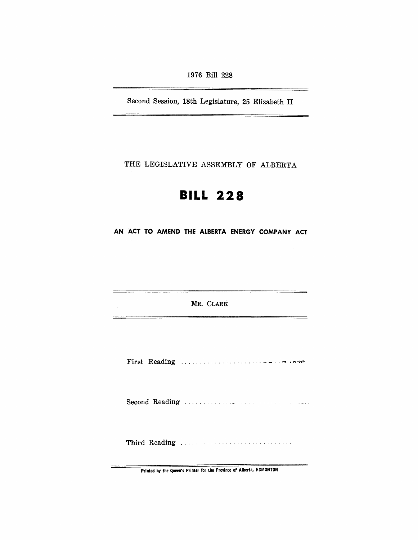1976 Bill 228

Second Session, 18th Legislature, 25 Elizabeth II

THE LEGISLATIVE ASSEMBLY OF ALBERTA

# **BILL 228**

AN ACT TO AMEND THE ALBERTA ENERGY COMPANY ACT

MR. CLARK

tan ya biyartirin zaman katika ta kasa ya katika matsa ya katika ma

Printed by the Queen's Printer for the Province of Alberta, EDMONTON